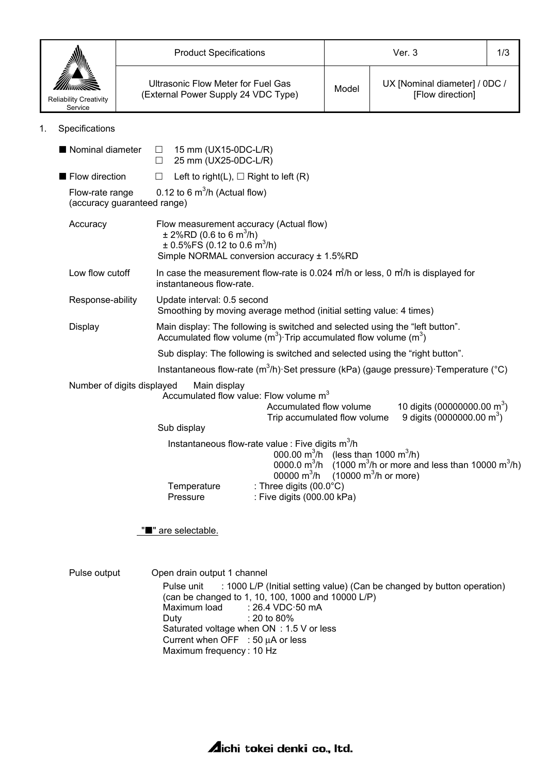|                                                                                                                                                                                                                                               |                                                                                                                                | <b>Product Specifications</b>                                                                 |                                                                                                                    |                                                                                                                                                                             | Ver. 3                                                                                                                                        |                                                                                        | 1/3 |
|-----------------------------------------------------------------------------------------------------------------------------------------------------------------------------------------------------------------------------------------------|--------------------------------------------------------------------------------------------------------------------------------|-----------------------------------------------------------------------------------------------|--------------------------------------------------------------------------------------------------------------------|-----------------------------------------------------------------------------------------------------------------------------------------------------------------------------|-----------------------------------------------------------------------------------------------------------------------------------------------|----------------------------------------------------------------------------------------|-----|
| <b>Reliability Creativity</b><br>Service                                                                                                                                                                                                      | <b>Ultrasonic Flow Meter for Fuel Gas</b><br>(External Power Supply 24 VDC Type)                                               |                                                                                               | Model                                                                                                              | UX [Nominal diameter] / 0DC /<br>[Flow direction]                                                                                                                           |                                                                                                                                               |                                                                                        |     |
| Specifications<br>1.                                                                                                                                                                                                                          |                                                                                                                                |                                                                                               |                                                                                                                    |                                                                                                                                                                             |                                                                                                                                               |                                                                                        |     |
| Nominal diameter                                                                                                                                                                                                                              |                                                                                                                                | $\overline{\phantom{a}}$<br>$\Box$                                                            | 15 mm (UX15-0DC-L/R)<br>25 mm (UX25-0DC-L/R)                                                                       |                                                                                                                                                                             |                                                                                                                                               |                                                                                        |     |
| Flow direction                                                                                                                                                                                                                                |                                                                                                                                | $\Box$                                                                                        |                                                                                                                    | Left to right(L), $\Box$ Right to left (R)                                                                                                                                  |                                                                                                                                               |                                                                                        |     |
| 0.12 to 6 $m^3/h$ (Actual flow)<br>Flow-rate range<br>(accuracy guaranteed range)                                                                                                                                                             |                                                                                                                                |                                                                                               |                                                                                                                    |                                                                                                                                                                             |                                                                                                                                               |                                                                                        |     |
| Accuracy                                                                                                                                                                                                                                      |                                                                                                                                | $\pm$ 2%RD (0.6 to 6 m <sup>3</sup> /h)<br>$\pm$ 0.5%FS (0.12 to 0.6 m <sup>3</sup> /h)       |                                                                                                                    | Flow measurement accuracy (Actual flow)<br>Simple NORMAL conversion accuracy ± 1.5%RD                                                                                       |                                                                                                                                               |                                                                                        |     |
| Low flow cutoff                                                                                                                                                                                                                               | In case the measurement flow-rate is 0.024 $\frac{m}{h}$ or less, 0 $\frac{m}{h}$ is displayed for<br>instantaneous flow-rate. |                                                                                               |                                                                                                                    |                                                                                                                                                                             |                                                                                                                                               |                                                                                        |     |
| Response-ability<br>Update interval: 0.5 second<br>Smoothing by moving average method (initial setting value: 4 times)                                                                                                                        |                                                                                                                                |                                                                                               |                                                                                                                    |                                                                                                                                                                             |                                                                                                                                               |                                                                                        |     |
| Main display: The following is switched and selected using the "left button".<br>Display<br>Accumulated flow volume $(m^3)$ Trip accumulated flow volume $(m^3)$                                                                              |                                                                                                                                |                                                                                               |                                                                                                                    |                                                                                                                                                                             |                                                                                                                                               |                                                                                        |     |
| Sub display: The following is switched and selected using the "right button".                                                                                                                                                                 |                                                                                                                                |                                                                                               |                                                                                                                    |                                                                                                                                                                             |                                                                                                                                               |                                                                                        |     |
|                                                                                                                                                                                                                                               |                                                                                                                                |                                                                                               |                                                                                                                    |                                                                                                                                                                             |                                                                                                                                               | Instantaneous flow-rate $(m^3/h)$ Set pressure (kPa) (gauge pressure) Temperature (°C) |     |
| Number of digits displayed<br>Main display<br>Accumulated flow value: Flow volume m <sup>3</sup><br>10 digits (00000000.00 m <sup>3</sup> )<br>Accumulated flow volume<br>9 digits $(0000000.00 \text{ m}^3)$<br>Trip accumulated flow volume |                                                                                                                                |                                                                                               |                                                                                                                    |                                                                                                                                                                             |                                                                                                                                               |                                                                                        |     |
|                                                                                                                                                                                                                                               |                                                                                                                                | Sub display                                                                                   |                                                                                                                    |                                                                                                                                                                             |                                                                                                                                               |                                                                                        |     |
|                                                                                                                                                                                                                                               |                                                                                                                                |                                                                                               | Instantaneous flow-rate value : Five digits m <sup>3</sup> /h<br>000.00 $m^3/h$<br>0000.0 $m^3/h$<br>00000 $m^3/h$ |                                                                                                                                                                             | (less than 1000 $m^3/h$ )<br>$(1000 \text{ m}^3/h)$ or more and less than 10000 m <sup>3</sup> /h)<br>$(10000 \text{ m}^3/h \text{ or more})$ |                                                                                        |     |
|                                                                                                                                                                                                                                               |                                                                                                                                | Temperature<br>Pressure                                                                       |                                                                                                                    | : Three digits (00.0°C)<br>: Five digits (000.00 kPa)                                                                                                                       |                                                                                                                                               |                                                                                        |     |
|                                                                                                                                                                                                                                               |                                                                                                                                | "" are selectable.                                                                            |                                                                                                                    |                                                                                                                                                                             |                                                                                                                                               |                                                                                        |     |
| Pulse output                                                                                                                                                                                                                                  |                                                                                                                                | Open drain output 1 channel<br>Pulse unit<br>Maximum load<br>Duty<br>Maximum frequency: 10 Hz |                                                                                                                    | (can be changed to 1, 10, 100, 1000 and 10000 L/P)<br>: 26.4 VDC 50 mA<br>: 20 to 80%<br>Saturated voltage when ON : 1.5 V or less<br>Current when OFF : 50 $\mu$ A or less |                                                                                                                                               | : 1000 L/P (Initial setting value) (Can be changed by button operation)                |     |

**Aichi tokei denki co., Itd.**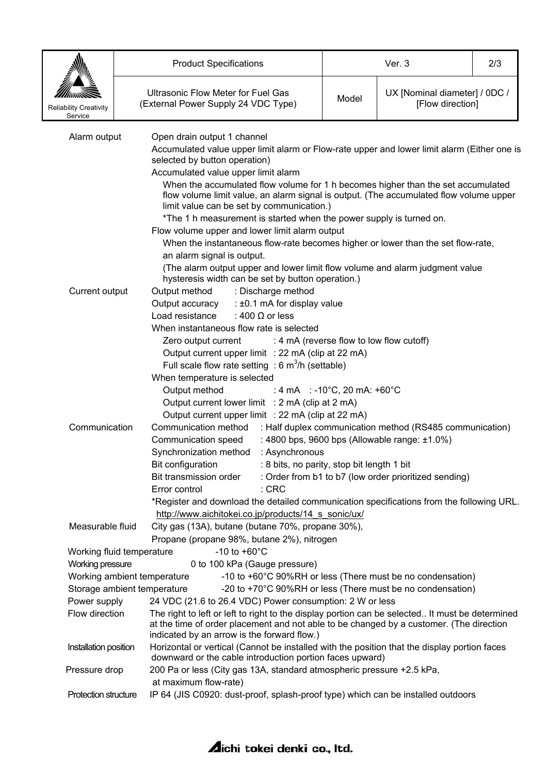|                                                                                                                                                                                                                                                             | <b>Product Specifications</b>                                                                                                                            |                                                                                                                                                                            | Ver. 3                                            |  |  |  |  |  |
|-------------------------------------------------------------------------------------------------------------------------------------------------------------------------------------------------------------------------------------------------------------|----------------------------------------------------------------------------------------------------------------------------------------------------------|----------------------------------------------------------------------------------------------------------------------------------------------------------------------------|---------------------------------------------------|--|--|--|--|--|
| <b>Reliability Creativity</b><br>Service                                                                                                                                                                                                                    | <b>Ultrasonic Flow Meter for Fuel Gas</b><br>(External Power Supply 24 VDC Type)                                                                         | Model                                                                                                                                                                      | UX [Nominal diameter] / 0DC /<br>[Flow direction] |  |  |  |  |  |
| Alarm output                                                                                                                                                                                                                                                | Open drain output 1 channel<br>selected by button operation)                                                                                             | Accumulated value upper limit alarm or Flow-rate upper and lower limit alarm (Either one is                                                                                |                                                   |  |  |  |  |  |
|                                                                                                                                                                                                                                                             |                                                                                                                                                          | Accumulated value upper limit alarm                                                                                                                                        |                                                   |  |  |  |  |  |
|                                                                                                                                                                                                                                                             |                                                                                                                                                          | When the accumulated flow volume for 1 h becomes higher than the set accumulated<br>flow volume limit value, an alarm signal is output. (The accumulated flow volume upper |                                                   |  |  |  |  |  |
|                                                                                                                                                                                                                                                             |                                                                                                                                                          | limit value can be set by communication.)                                                                                                                                  |                                                   |  |  |  |  |  |
|                                                                                                                                                                                                                                                             |                                                                                                                                                          | *The 1 h measurement is started when the power supply is turned on.                                                                                                        |                                                   |  |  |  |  |  |
|                                                                                                                                                                                                                                                             |                                                                                                                                                          | Flow volume upper and lower limit alarm output                                                                                                                             |                                                   |  |  |  |  |  |
|                                                                                                                                                                                                                                                             |                                                                                                                                                          | When the instantaneous flow-rate becomes higher or lower than the set flow-rate,                                                                                           |                                                   |  |  |  |  |  |
|                                                                                                                                                                                                                                                             |                                                                                                                                                          | an alarm signal is output.<br>(The alarm output upper and lower limit flow volume and alarm judgment value                                                                 |                                                   |  |  |  |  |  |
|                                                                                                                                                                                                                                                             | hysteresis width can be set by button operation.)                                                                                                        |                                                                                                                                                                            |                                                   |  |  |  |  |  |
| Current output                                                                                                                                                                                                                                              | Output method<br>: Discharge method                                                                                                                      |                                                                                                                                                                            |                                                   |  |  |  |  |  |
|                                                                                                                                                                                                                                                             | Output accuracy                                                                                                                                          | : ±0.1 mA for display value                                                                                                                                                |                                                   |  |  |  |  |  |
|                                                                                                                                                                                                                                                             | : 400 $\Omega$ or less<br>Load resistance                                                                                                                |                                                                                                                                                                            |                                                   |  |  |  |  |  |
|                                                                                                                                                                                                                                                             | When instantaneous flow rate is selected                                                                                                                 |                                                                                                                                                                            |                                                   |  |  |  |  |  |
| : 4 mA (reverse flow to low flow cutoff)<br>Zero output current                                                                                                                                                                                             |                                                                                                                                                          |                                                                                                                                                                            |                                                   |  |  |  |  |  |
|                                                                                                                                                                                                                                                             | Output current upper limit : 22 mA (clip at 22 mA)                                                                                                       |                                                                                                                                                                            |                                                   |  |  |  |  |  |
|                                                                                                                                                                                                                                                             | Full scale flow rate setting : $6 \text{ m}^3$ /h (settable)                                                                                             |                                                                                                                                                                            |                                                   |  |  |  |  |  |
| When temperature is selected                                                                                                                                                                                                                                |                                                                                                                                                          |                                                                                                                                                                            |                                                   |  |  |  |  |  |
|                                                                                                                                                                                                                                                             | Output method                                                                                                                                            | : 4 mA : -10 $^{\circ}$ C, 20 mA: +60 $^{\circ}$ C                                                                                                                         |                                                   |  |  |  |  |  |
|                                                                                                                                                                                                                                                             |                                                                                                                                                          | Output current lower limit : 2 mA (clip at 2 mA)<br>Output current upper limit : 22 mA (clip at 22 mA)                                                                     |                                                   |  |  |  |  |  |
| Communication                                                                                                                                                                                                                                               | Communication method                                                                                                                                     | : Half duplex communication method (RS485 communication)                                                                                                                   |                                                   |  |  |  |  |  |
|                                                                                                                                                                                                                                                             | Communication speed                                                                                                                                      | : 4800 bps, 9600 bps (Allowable range: ±1.0%)                                                                                                                              |                                                   |  |  |  |  |  |
|                                                                                                                                                                                                                                                             |                                                                                                                                                          | : Asynchronous<br>Synchronization method                                                                                                                                   |                                                   |  |  |  |  |  |
|                                                                                                                                                                                                                                                             | Bit configuration                                                                                                                                        | : 8 bits, no parity, stop bit length 1 bit                                                                                                                                 |                                                   |  |  |  |  |  |
|                                                                                                                                                                                                                                                             | Bit transmission order                                                                                                                                   | : Order from b1 to b7 (low order prioritized sending)                                                                                                                      |                                                   |  |  |  |  |  |
|                                                                                                                                                                                                                                                             | $:$ CRC<br>Error control                                                                                                                                 |                                                                                                                                                                            |                                                   |  |  |  |  |  |
|                                                                                                                                                                                                                                                             |                                                                                                                                                          | *Register and download the detailed communication specifications from the following URL.                                                                                   |                                                   |  |  |  |  |  |
|                                                                                                                                                                                                                                                             | http://www.aichitokei.co.jp/products/14 s sonic/ux/                                                                                                      |                                                                                                                                                                            |                                                   |  |  |  |  |  |
| Measurable fluid                                                                                                                                                                                                                                            | City gas (13A), butane (butane 70%, propane 30%),                                                                                                        |                                                                                                                                                                            |                                                   |  |  |  |  |  |
|                                                                                                                                                                                                                                                             | Propane (propane 98%, butane 2%), nitrogen<br>$-10$ to $+60^{\circ}$ C<br>Working fluid temperature                                                      |                                                                                                                                                                            |                                                   |  |  |  |  |  |
| <b>Working pressure</b>                                                                                                                                                                                                                                     | 0 to 100 kPa (Gauge pressure)                                                                                                                            |                                                                                                                                                                            |                                                   |  |  |  |  |  |
|                                                                                                                                                                                                                                                             | Working ambient temperature<br>-10 to +60°C 90%RH or less (There must be no condensation)                                                                |                                                                                                                                                                            |                                                   |  |  |  |  |  |
| Storage ambient temperature<br>-20 to +70°C 90%RH or less (There must be no condensation)                                                                                                                                                                   |                                                                                                                                                          |                                                                                                                                                                            |                                                   |  |  |  |  |  |
|                                                                                                                                                                                                                                                             | Power supply<br>24 VDC (21.6 to 26.4 VDC) Power consumption: 2 W or less                                                                                 |                                                                                                                                                                            |                                                   |  |  |  |  |  |
| Flow direction<br>The right to left or left to right to the display portion can be selected It must be determined<br>at the time of order placement and not able to be changed by a customer. (The direction<br>indicated by an arrow is the forward flow.) |                                                                                                                                                          |                                                                                                                                                                            |                                                   |  |  |  |  |  |
| Installation position                                                                                                                                                                                                                                       | Horizontal or vertical (Cannot be installed with the position that the display portion faces<br>downward or the cable introduction portion faces upward) |                                                                                                                                                                            |                                                   |  |  |  |  |  |
| Pressure drop                                                                                                                                                                                                                                               | at maximum flow-rate)                                                                                                                                    | 200 Pa or less (City gas 13A, standard atmospheric pressure +2.5 kPa,                                                                                                      |                                                   |  |  |  |  |  |
| Protection structure                                                                                                                                                                                                                                        | IP 64 (JIS C0920: dust-proof, splash-proof type) which can be installed outdoors                                                                         |                                                                                                                                                                            |                                                   |  |  |  |  |  |

## **Aichi tokei denki co., Itd.**